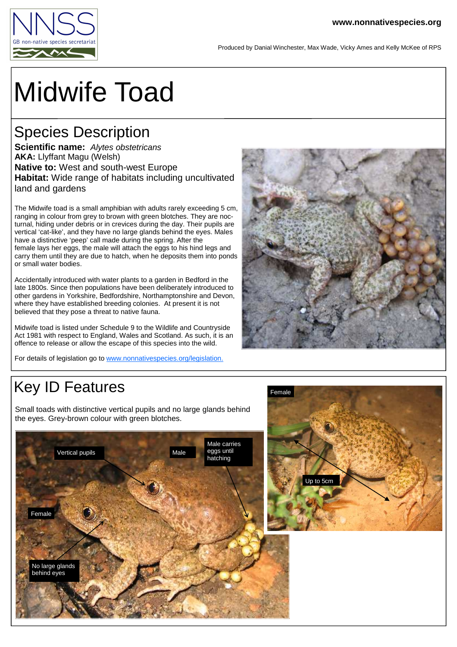

Produced by Danial Winchester, Max Wade, Vicky Ames and Kelly McKee of RPS

# Midwife Toad

#### Species Description

**Scientific name:** Alytes obstetricans **AKA:** Llyffant Magu (Welsh) **Native to:** West and south-west Europe **Habitat:** Wide range of habitats including uncultivated land and gardens

The Midwife toad is a small amphibian with adults rarely exceeding 5 cm, ranging in colour from grey to brown with green blotches. They are nocturnal, hiding under debris or in crevices during the day. Their pupils are vertical 'cat-like', and they have no large glands behind the eyes. Males have a distinctive 'peep' call made during the spring. After the female lays her eggs, the male will attach the eggs to his hind legs and carry them until they are due to hatch, when he deposits them into ponds or small water bodies.

Accidentally introduced with water plants to a garden in Bedford in the late 1800s. Since then populations have been deliberately introduced to other gardens in Yorkshire, Bedfordshire, Northamptonshire and Devon, where they have established breeding colonies. At present it is not believed that they pose a threat to native fauna.

Midwife toad is listed under Schedule 9 to the Wildlife and Countryside Act 1981 with respect to England, Wales and Scotland. As such, it is an offence to release or allow the escape of this species into the wild.

For details of legislation go to www.nonnativespecies.org/legislation.



# Key ID Features

Small toads with distinctive vertical pupils and no large glands behind the eyes. Grey-brown colour with green blotches.